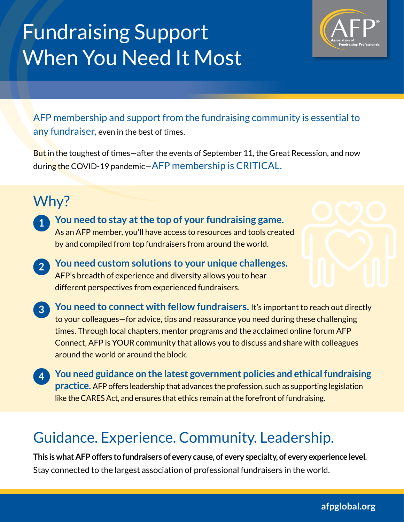# Fundraising Support When You Need It Most



AFP membership and support from the fundraising community is essential to any fundraiser, even in the best of times.

But in the toughest of times-after the events of September 11, the Great Recession, and now during the COVID-19 pandemic—AFP membership is CRITICAL.

#### Why?

- **You need to stay at the top of your fundraising game.**  As an AFP member, you'll have access to resources and tools created by and compiled from top fundraisers from around the world. **1**
- **You need custom solutions to your unique challenges.**  AFP's breadth of experience and diversity allows you to hear different perspectives from experienced fundraisers. **2**
- **You need to connect with fellow fundraisers.** It's important to reach out directly to your colleagues—for advice, tips and reassurance you need during these challenging times. Through local chapters, mentor programs and the acclaimed online forum AFP Connect, AFP is YOUR community that allows you to discuss and share with colleagues around the world or around the block. **3**
- **You need guidance on the latest government policies and ethical fundraising practice.** AFP offers leadership that advances the profession, such as supporting legislation like the CARES Act, and ensures that ethics remain at the forefront of fundraising. **4**

### Guidance. Experience. Community. Leadership.

**This is what AFP offers to fundraisers of every cause, of every specialty, of every experience level.**  Stay connected to the largest association of professional fundraisers in the world.